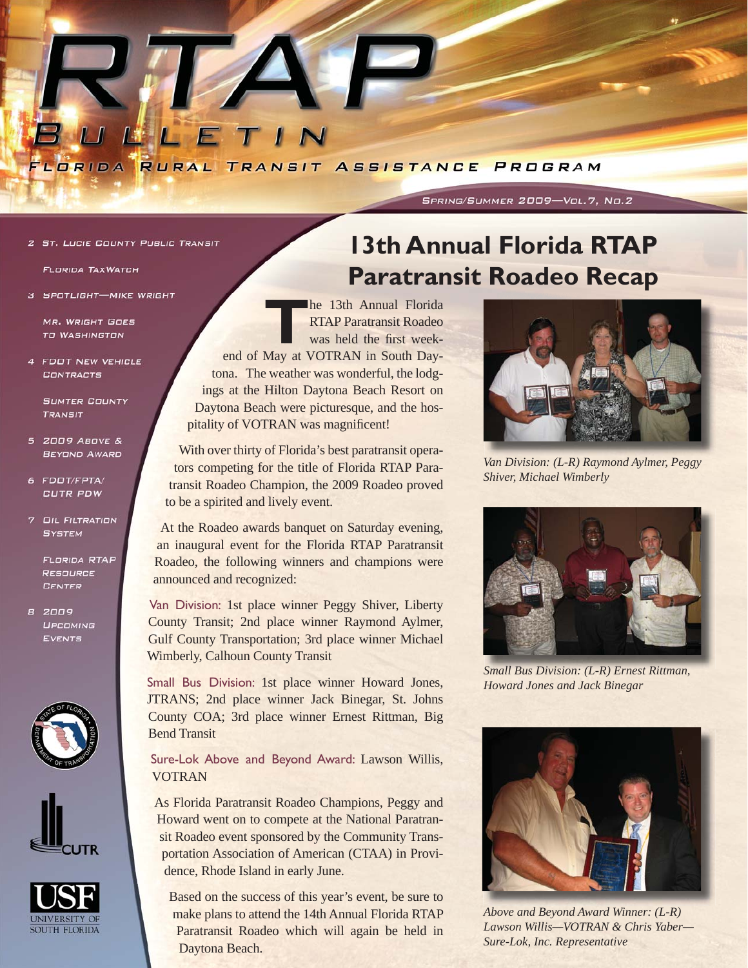

### SPRING/SUMMER 2009-Vol.7, No.2

**2 ST. LUCIE COUNTY PUBLIC TRANSIT** 

**FLORIDA TAXWATCH** 

3 SPOTLIGHT-MIKE WRIGHT

**MR. WRIGHT GOES TO WASHINGTON** 

4 FDOT NEW VEHICLE CONTRACTS

**SUMTER COUNTY** TRANSIT

- 5 2009 ABOVE & **BEYOND AWARD**
- 6 FDOT/FPTA/ CUTR PDW
- 7 OIL FILTRATION **SYSTEM**

**FLORIDA RTAP RESOURCE CENTER** 

8 2009 UPCOMING EVENTS







# **13th Annual Florida RTAP Paratransit Roadeo Recap**

**T**he 13th Annual Florida RTAP Paratransit Roadeo was held the first weekend of May at VOTRAN in South Daytona. The weather was wonderful, the lodgings at the Hilton Daytona Beach Resort on Daytona Beach were picturesque, and the hospitality of VOTRAN was magnificent!

With over thirty of Florida's best paratransit operators competing for the title of Florida RTAP Paratransit Roadeo Champion, the 2009 Roadeo proved to be a spirited and lively event.

At the Roadeo awards banquet on Saturday evening, an inaugural event for the Florida RTAP Paratransit Roadeo, the following winners and champions were announced and recognized:

Van Division: 1st place winner Peggy Shiver, Liberty County Transit; 2nd place winner Raymond Aylmer, Gulf County Transportation; 3rd place winner Michael Wimberly, Calhoun County Transit

Small Bus Division: 1st place winner Howard Jones, JTRANS; 2nd place winner Jack Binegar, St. Johns County COA; 3rd place winner Ernest Rittman, Big Bend Transit

Sure-Lok Above and Beyond Award: Lawson Willis, VOTRAN

As Florida Paratransit Roadeo Champions, Peggy and Howard went on to compete at the National Paratransit Roadeo event sponsored by the Community Transportation Association of American (CTAA) in Providence, Rhode Island in early June.

Based on the success of this year's event, be sure to make plans to attend the 14th Annual Florida RTAP Paratransit Roadeo which will again be held in Daytona Beach.



*Van Division: (L-R) Raymond Aylmer, Peggy Shiver, Michael Wimberly*



*Small Bus Division: (L-R) Ernest Rittman, Howard Jones and Jack Binegar*



*Above and Beyond Award Winner: (L-R) Lawson Willis—VOTRAN & Chris Yaber— Sure-Lok, Inc. Representative*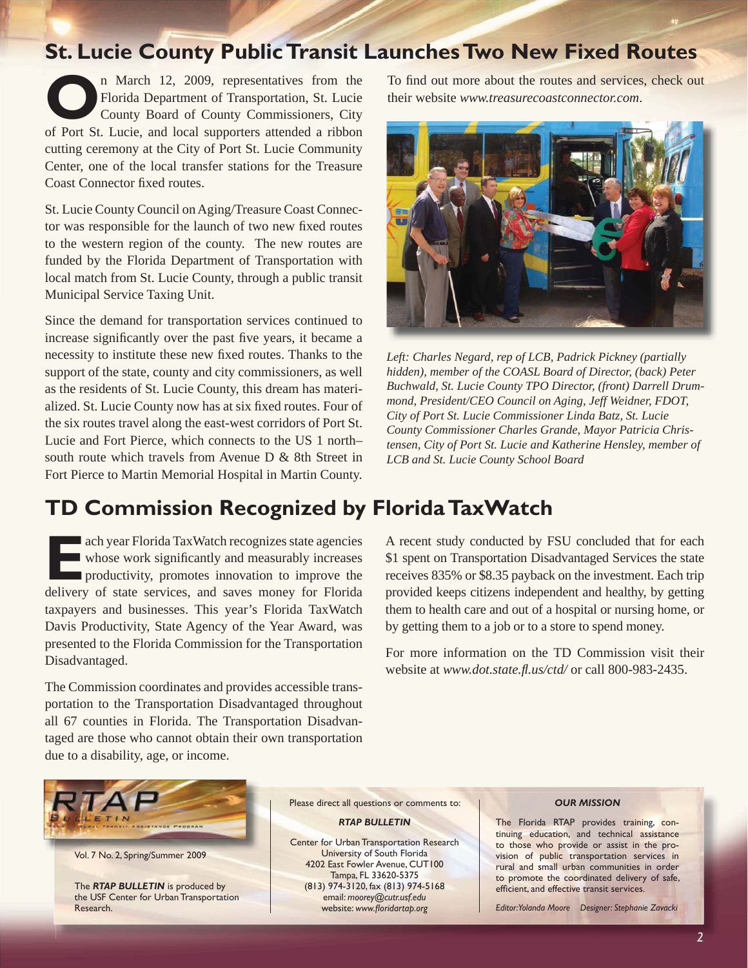## **St. Lucie County Public Transit Launches Two New Fixed Routes**

**O**n March 12, 2009, representatives from the Florida Department of Transportation, St. Lucie County Board of County Commissioners, City Florida Department of Transportation, St. Lucie County Board of County Commissioners, City of Port St. Lucie, and local supporters attended a ribbon cutting ceremony at the City of Port St. Lucie Community Center, one of the local transfer stations for the Treasure Coast Connector fixed routes.

St. Lucie County Council on Aging/Treasure Coast Connector was responsible for the launch of two new fixed routes to the western region of the county. The new routes are funded by the Florida Department of Transportation with local match from St. Lucie County, through a public transit Municipal Service Taxing Unit.

Since the demand for transportation services continued to increase significantly over the past five years, it became a necessity to institute these new fixed routes. Thanks to the support of the state, county and city commissioners, as well as the residents of St. Lucie County, this dream has materialized. St. Lucie County now has at six fixed routes. Four of the six routes travel along the east-west corridors of Port St. Lucie and Fort Pierce, which connects to the US 1 north– south route which travels from Avenue D & 8th Street in Fort Pierce to Martin Memorial Hospital in Martin County.

# **TD Commission Recognized by Florida TaxWatch**

**EACH SERVING TAXWATCH recognizes state agencies**<br> **EACH SERVING WATER WATER WATER PRODUCT** whose work significantly and measurably increases<br> **EACH SERVING CONTACT SERVING SERVING PRODUCT** for Election whose work significantly and measurably increases **n** productivity, promotes innovation to improve the delivery of state services, and saves money for Florida taxpayers and businesses. This year's Florida TaxWatch Davis Productivity, State Agency of the Year Award, was presented to the Florida Commission for the Transportation Disadvantaged.

The Commission coordinates and provides accessible transportation to the Transportation Disadvantaged throughout all 67 counties in Florida. The Transportation Disadvantaged are those who cannot obtain their own transportation due to a disability, age, or income.

To find out more about the routes and services, check out their website *[www.treasurecoastconnector.com](http://www.treasurecoastconnector.com/)*.



*Left: Charles Negard, rep of LCB, Padrick Pickney (partially hidden), member of the COASL Board of Director, (back) Peter Buchwald, St. Lucie County TPO Director, (front) Darrell Drummond, President/CEO Council on Aging, Jeff Weidner, FDOT, City of Port St. Lucie Commissioner Linda Batz, St. Lucie County Commissioner Charles Grande, Mayor Patricia Christensen, City of Port St. Lucie and Katherine Hensley, member of LCB and St. Lucie County School Board*

A recent study conducted by FSU concluded that for each \$1 spent on Transportation Disadvantaged Services the state receives 835% or \$8.35 payback on the investment. Each trip provided keeps citizens independent and healthy, by getting them to health care and out of a hospital or nursing home, or by getting them to a job or to a store to spend money.

For more information on the TD Commission visit their website at *[www.dot.state.](http://www.dot.state.fl.us/ctd/)fl.us/ctd/* or call 800-983-2435.



Vol. 7 No. 2, Spring/Summer 2009

The *RTAP BULLETIN* is produced by the USF Center for Urban Transportation Research.

Please direct all questions or comments to:

#### *RTAP BULLETIN*

Center for Urban Transportation Research University of South Florida 4202 East Fowler Avenue, CUT100 Tampa, FL 33620-5375 (813) 974-3120, fax (813) 974-5168 email: *[moorey@cutr.usf.edu](mailto:moorey@cutr.usf.edu)* website: www.floridartap.org

#### *OUR MISSION*

The Florida RTAP provides training, continuing education, and technical assistance to those who provide or assist in the provision of public transportation services in rural and small urban communities in order to promote the coordinated delivery of safe, efficient, and effective transit services.

*Editor: Yolanda Moore Designer: Stephanie Zavacki*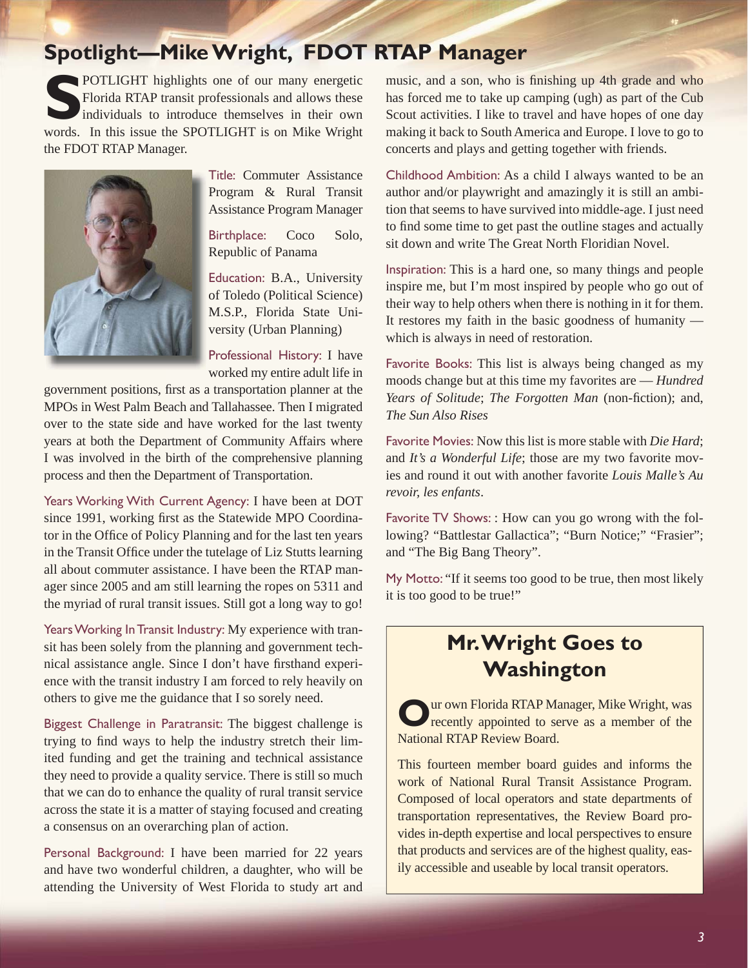# **Spotlight—Mike Wright, FDOT RTAP Manager**

**POTLIGHT** highlights one of our many energetic Florida RTAP transit professionals and allows these individuals to introduce themselves in their own words. In this issue the SPOTLIGHT is on Mike Wright the FDOT RTAP Manager.



Title: Commuter Assistance Program & Rural Transit Assistance Program Manager

Birthplace: Coco Solo, Republic of Panama

Education: B.A., University of Toledo (Political Science) M.S.P., Florida State University (Urban Planning)

Professional History: I have worked my entire adult life in

government positions, first as a transportation planner at the MPOs in West Palm Beach and Tallahassee. Then I migrated over to the state side and have worked for the last twenty years at both the Department of Community Affairs where I was involved in the birth of the comprehensive planning process and then the Department of Transportation.

Years Working With Current Agency: I have been at DOT since 1991, working first as the Statewide MPO Coordinator in the Office of Policy Planning and for the last ten years in the Transit Office under the tutelage of Liz Stutts learning all about commuter assistance. I have been the RTAP manager since 2005 and am still learning the ropes on 5311 and the myriad of rural transit issues. Still got a long way to go!

Years Working In Transit Industry: My experience with transit has been solely from the planning and government technical assistance angle. Since I don't have firsthand experience with the transit industry I am forced to rely heavily on others to give me the guidance that I so sorely need.

Biggest Challenge in Paratransit: The biggest challenge is trying to find ways to help the industry stretch their limited funding and get the training and technical assistance they need to provide a quality service. There is still so much that we can do to enhance the quality of rural transit service across the state it is a matter of staying focused and creating a consensus on an overarching plan of action.

Personal Background: I have been married for 22 years and have two wonderful children, a daughter, who will be attending the University of West Florida to study art and

music, and a son, who is finishing up 4th grade and who has forced me to take up camping (ugh) as part of the Cub Scout activities. I like to travel and have hopes of one day making it back to South America and Europe. I love to go to concerts and plays and getting together with friends.

Childhood Ambition: As a child I always wanted to be an author and/or playwright and amazingly it is still an ambition that seems to have survived into middle-age. I just need to find some time to get past the outline stages and actually sit down and write The Great North Floridian Novel.

Inspiration: This is a hard one, so many things and people inspire me, but I'm most inspired by people who go out of their way to help others when there is nothing in it for them. It restores my faith in the basic goodness of humanity which is always in need of restoration.

Favorite Books: This list is always being changed as my moods change but at this time my favorites are — *Hundred Years of Solitude*; *The Forgotten Man* (non-fiction); and, *The Sun Also Rises*

Favorite Movies: Now this list is more stable with *Die Hard*; and *It's a Wonderful Life*; those are my two favorite movies and round it out with another favorite *Louis Malle's Au revoir, les enfants*.

Favorite TV Shows: : How can you go wrong with the following? "Battlestar Gallactica"; "Burn Notice;" "Frasier"; and "The Big Bang Theory".

My Motto: "If it seems too good to be true, then most likely it is too good to be true!"

### **Mr. Wright Goes to Washington**

**Ur own Florida RTAP Manager, Mike Wright, was** recently appointed to serve as a member of the National RTAP Review Board.

This fourteen member board guides and informs the work of National Rural Transit Assistance Program. Composed of local operators and state departments of transportation representatives, the Review Board provides in-depth expertise and local perspectives to ensure that products and services are of the highest quality, easily accessible and useable by local transit operators.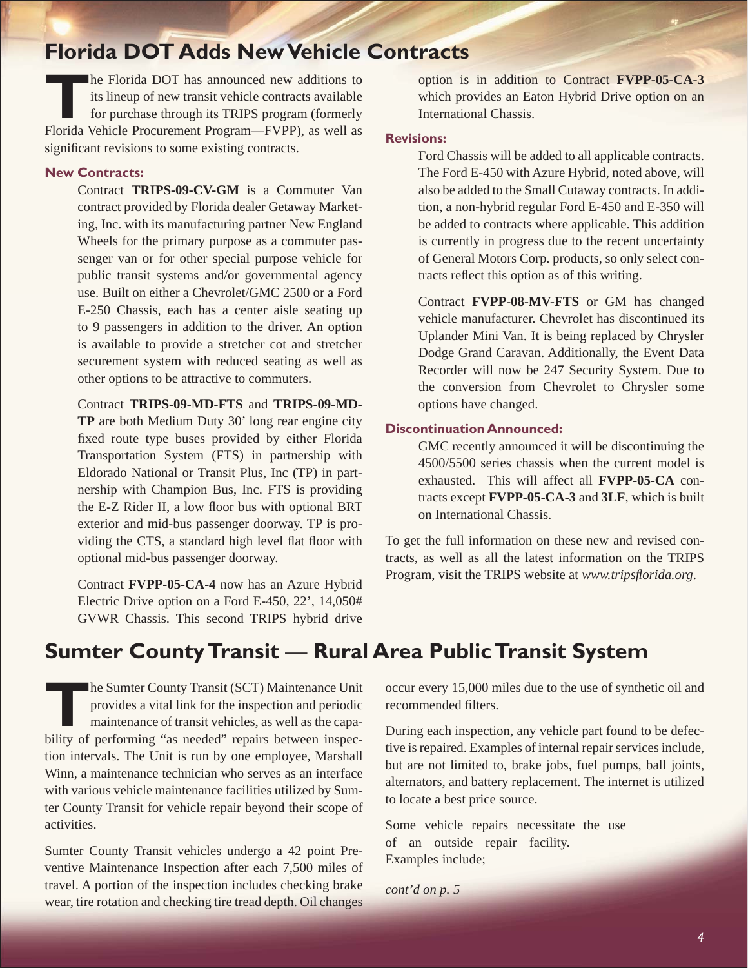### **Florida DOT Adds New Vehicle Contracts**

**THE FLORIDA CONTROL**<br>Its lineup of new transit vehicle contracts available<br>for purchase through its TRIPS program (formerly<br>Elorida Vabiala Program EVPD) as well as its lineup of new transit vehicle contracts available for purchase through its TRIPS program (formerly Florida Vehicle Procurement Program—FVPP), as well as significant revisions to some existing contracts.

### **New Contracts:**

Contract **TRIPS-09-CV-GM** is a Commuter Van contract provided by Florida dealer Getaway Marketing, Inc. with its manufacturing partner New England Wheels for the primary purpose as a commuter passenger van or for other special purpose vehicle for public transit systems and/or governmental agency use. Built on either a Chevrolet/GMC 2500 or a Ford E-250 Chassis, each has a center aisle seating up to 9 passengers in addition to the driver. An option is available to provide a stretcher cot and stretcher securement system with reduced seating as well as other options to be attractive to commuters.

Contract **TRIPS-09-MD-FTS** and **TRIPS-09-MD-TP** are both Medium Duty 30' long rear engine city fixed route type buses provided by either Florida Transportation System (FTS) in partnership with Eldorado National or Transit Plus, Inc (TP) in partnership with Champion Bus, Inc. FTS is providing the E-Z Rider II, a low floor bus with optional BRT exterior and mid-bus passenger doorway. TP is providing the CTS, a standard high level flat floor with optional mid-bus passenger doorway.

Contract **FVPP-05-CA-4** now has an Azure Hybrid Electric Drive option on a Ford E-450, 22', 14,050# GVWR Chassis. This second TRIPS hybrid drive

option is in addition to Contract **FVPP-05-CA-3**  which provides an Eaton Hybrid Drive option on an International Chassis.

### **Revisions:**

Ford Chassis will be added to all applicable contracts. The Ford E-450 with Azure Hybrid, noted above, will also be added to the Small Cutaway contracts. In addition, a non-hybrid regular Ford E-450 and E-350 will be added to contracts where applicable. This addition is currently in progress due to the recent uncertainty of General Motors Corp. products, so only select contracts reflect this option as of this writing.

Contract **FVPP-08-MV-FTS** or GM has changed vehicle manufacturer. Chevrolet has discontinued its Uplander Mini Van. It is being replaced by Chrysler Dodge Grand Caravan. Additionally, the Event Data Recorder will now be 247 Security System. Due to the conversion from Chevrolet to Chrysler some options have changed.

#### **Discontinuation Announced:**

GMC recently announced it will be discontinuing the 4500/5500 series chassis when the current model is exhausted. This will affect all **FVPP-05-CA** contracts except **FVPP-05-CA-3** and **3LF**, which is built on International Chassis.

To get the full information on these new and revised contracts, as well as all the latest information on the TRIPS Program, visit the TRIPS website at *www.tripsflorida.org.* 

# **Sumter County Transit** — **Rural Area Public Transit System**

**The Sumter County Transit (SCT) Maintenance Unit**<br>provides a vital link for the inspection and periodic<br>maintenance of transit vehicles, as well as the capa-<br>hility of performing *"see peodod"* ranging between inspec provides a vital link for the inspection and periodic maintenance of transit vehicles, as well as the capability of performing "as needed" repairs between inspection intervals. The Unit is run by one employee, Marshall Winn, a maintenance technician who serves as an interface with various vehicle maintenance facilities utilized by Sumter County Transit for vehicle repair beyond their scope of activities.

Sumter County Transit vehicles undergo a 42 point Preventive Maintenance Inspection after each 7,500 miles of travel. A portion of the inspection includes checking brake wear, tire rotation and checking tire tread depth. Oil changes

occur every 15,000 miles due to the use of synthetic oil and recommended filters.

During each inspection, any vehicle part found to be defective is repaired. Examples of internal repair services include, but are not limited to, brake jobs, fuel pumps, ball joints, alternators, and battery replacement. The internet is utilized to locate a best price source.

Some vehicle repairs necessitate the use of an outside repair facility. Examples include;

*cont'd on p. 5*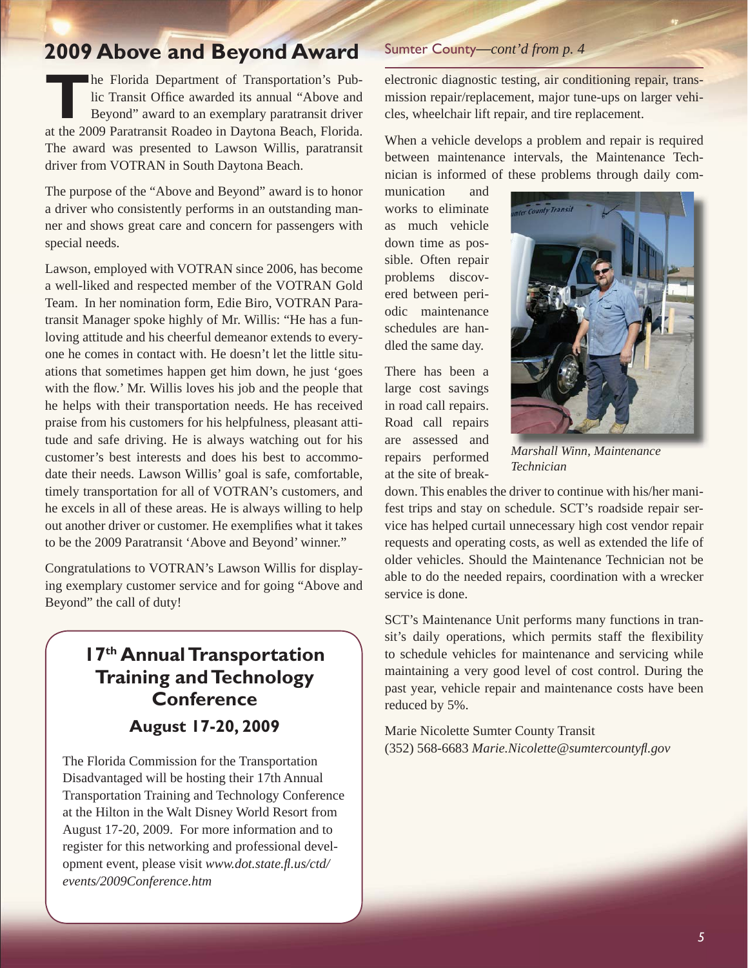### **2009 Above and Beyond Award**

**The Florida Department of Transportation's Pub-**<br>Iic Transit Office awarded its annual "Above and<br>Beyond" award to an exemplary paratransit driver<br>at the 2000 Berstronsit Boodes in Deutspe Boosh, Florida lic Transit Office awarded its annual "Above and Beyond" award to an exemplary paratransit driver at the 2009 Paratransit Roadeo in Daytona Beach, Florida. The award was presented to Lawson Willis, paratransit driver from VOTRAN in South Daytona Beach.

The purpose of the "Above and Beyond" award is to honor a driver who consistently performs in an outstanding manner and shows great care and concern for passengers with special needs.

Lawson, employed with VOTRAN since 2006, has become a well-liked and respected member of the VOTRAN Gold Team. In her nomination form, Edie Biro, VOTRAN Paratransit Manager spoke highly of Mr. Willis: "He has a funloving attitude and his cheerful demeanor extends to everyone he comes in contact with. He doesn't let the little situations that sometimes happen get him down, he just 'goes with the flow.' Mr. Willis loves his job and the people that he helps with their transportation needs. He has received praise from his customers for his helpfulness, pleasant attitude and safe driving. He is always watching out for his customer's best interests and does his best to accommodate their needs. Lawson Willis' goal is safe, comfortable, timely transportation for all of VOTRAN's customers, and he excels in all of these areas. He is always willing to help out another driver or customer. He exemplifies what it takes to be the 2009 Paratransit 'Above and Beyond' winner."

Congratulations to VOTRAN's Lawson Willis for displaying exemplary customer service and for going "Above and Beyond" the call of duty!

### **17th Annual Transportation Training and Technology Conference August 17-20, 2009**

The Florida Commission for the Transportation Disadvantaged will be hosting their 17th Annual Transportation Training and Technology Conference at the Hilton in the Walt Disney World Resort from August 17-20, 2009. For more information and to register for this networking and professional development event, please visit *[www.dot.state.](http://www.dot.state.fl.us/ctd/events/2009Conference.htm)fl .us/ctd/ [events/2009Conference.htm](http://www.dot.state.fl.us/ctd/events/2009Conference.htm)*

### Sumter County—*cont'd from p. 4*

electronic diagnostic testing, air conditioning repair, transmission repair/replacement, major tune-ups on larger vehicles, wheelchair lift repair, and tire replacement.

When a vehicle develops a problem and repair is required between maintenance intervals, the Maintenance Technician is informed of these problems through daily com-

munication and works to eliminate as much vehicle down time as possible. Often repair problems discovered between periodic maintenance schedules are handled the same day.

There has been a large cost savings in road call repairs. Road call repairs are assessed and repairs performed at the site of break-



*Marshall Winn, Maintenance Technician*

down. This enables the driver to continue with his/her manifest trips and stay on schedule. SCT's roadside repair service has helped curtail unnecessary high cost vendor repair requests and operating costs, as well as extended the life of older vehicles. Should the Maintenance Technician not be able to do the needed repairs, coordination with a wrecker service is done.

SCT's Maintenance Unit performs many functions in transit's daily operations, which permits staff the flexibility to schedule vehicles for maintenance and servicing while maintaining a very good level of cost control. During the past year, vehicle repair and maintenance costs have been reduced by 5%.

Marie Nicolette Sumter County Transit (352) 568-6683 *[Marie.Nicolette@sumtercounty](mailto:Marie.Nicolette@sumtercountyfl.gov)fl .gov*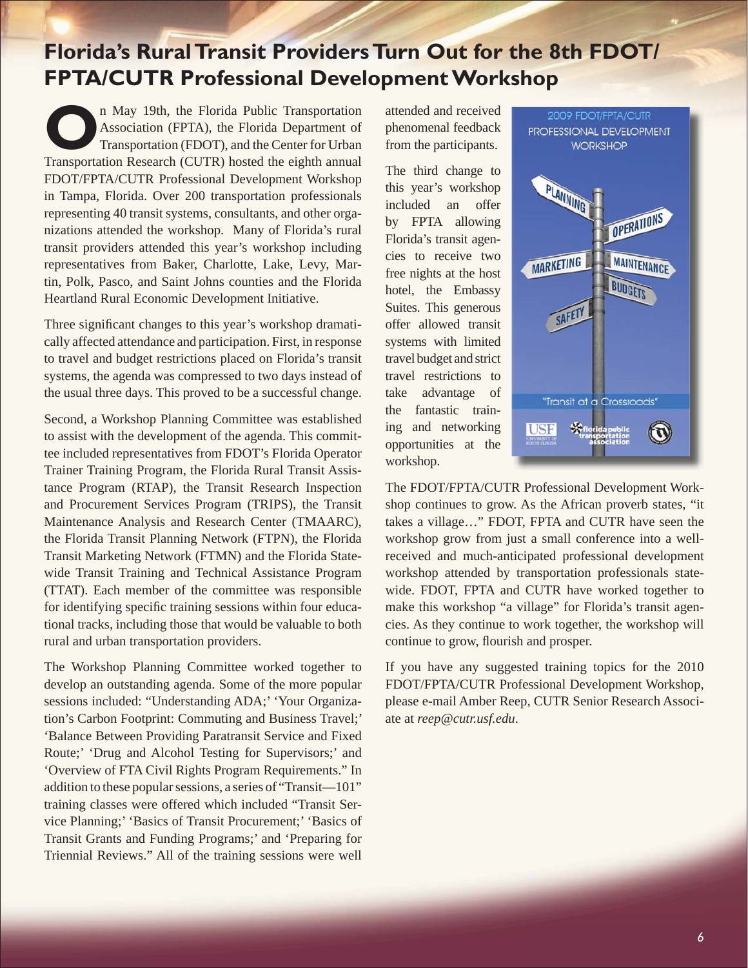# **Florida's Rural Transit Providers Turn Out for the 8th FDOT/ FPTA/CUTR Professional Development Workshop**

**O**n May 19th, the Florida Public Transportation<br>Association (FPTA), the Florida Department of<br>Transportation Peacears (CUTP) heated the cighth annual Association (FPTA), the Florida Department of Transportation (FDOT), and the Center for Urban Transportation Research (CUTR) hosted the eighth annual FDOT/FPTA/CUTR Professional Development Workshop in Tampa, Florida. Over 200 transportation professionals representing 40 transit systems, consultants, and other organizations attended the workshop. Many of Florida's rural transit providers attended this year's workshop including representatives from Baker, Charlotte, Lake, Levy, Martin, Polk, Pasco, and Saint Johns counties and the Florida Heartland Rural Economic Development Initiative.

Three significant changes to this year's workshop dramatically affected attendance and participation. First, in response to travel and budget restrictions placed on Florida's transit systems, the agenda was compressed to two days instead of the usual three days. This proved to be a successful change.

Second, a Workshop Planning Committee was established to assist with the development of the agenda. This committee included representatives from FDOT's Florida Operator Trainer Training Program, the Florida Rural Transit Assistance Program (RTAP), the Transit Research Inspection and Procurement Services Program (TRIPS), the Transit Maintenance Analysis and Research Center (TMAARC), the Florida Transit Planning Network (FTPN), the Florida Transit Marketing Network (FTMN) and the Florida Statewide Transit Training and Technical Assistance Program (TTAT). Each member of the committee was responsible for identifying specific training sessions within four educational tracks, including those that would be valuable to both rural and urban transportation providers.

The Workshop Planning Committee worked together to develop an outstanding agenda. Some of the more popular sessions included: "Understanding ADA;' 'Your Organization's Carbon Footprint: Commuting and Business Travel;' 'Balance Between Providing Paratransit Service and Fixed Route;' 'Drug and Alcohol Testing for Supervisors;' and 'Overview of FTA Civil Rights Program Requirements." In addition to these popular sessions, a series of "Transit—101" training classes were offered which included "Transit Service Planning;' 'Basics of Transit Procurement;' 'Basics of Transit Grants and Funding Programs;' and 'Preparing for Triennial Reviews." All of the training sessions were well

attended and received phenomenal feedback from the participants.

The third change to this year's workshop included an offer by FPTA allowing Florida's transit agencies to receive two free nights at the host hotel, the Embassy Suites. This generous offer allowed transit systems with limited travel budget and strict travel restrictions to take advantage of the fantastic training and networking opportunities at the workshop.



The FDOT/FPTA/CUTR Professional Development Workshop continues to grow. As the African proverb states, "it takes a village…" FDOT, FPTA and CUTR have seen the workshop grow from just a small conference into a wellreceived and much-anticipated professional development workshop attended by transportation professionals statewide. FDOT, FPTA and CUTR have worked together to make this workshop "a village" for Florida's transit agencies. As they continue to work together, the workshop will continue to grow, flourish and prosper.

If you have any suggested training topics for the 2010 FDOT/FPTA/CUTR Professional Development Workshop, please e-mail Amber Reep, CUTR Senior Research Associate at *[reep@cutr.usf.edu](mailto:reep@cutr.usf.edu)*.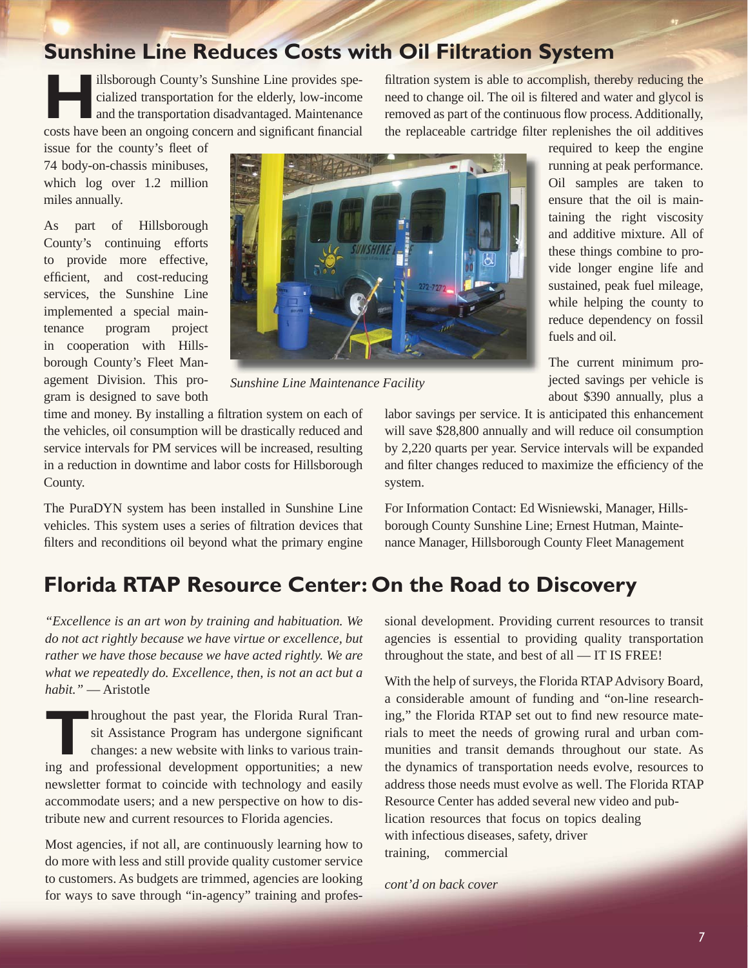*7*

**Sunshine Line Reduces Costs with Oil Filtration System**

Illsborough County's Sunshine Line provides spe-<br>cialized transportation for the elderly, low-income<br>and the transportation disadvantaged. Maintenance cialized transportation for the elderly, low-income and the transportation disadvantaged. Maintenance costs have been an ongoing concern and significant financial

issue for the county's fleet of 74 body-on-chassis minibuses, which log over 1.2 million miles annually.

As part of Hillsborough County's continuing efforts to provide more effective, efficient, and cost-reducing services, the Sunshine Line implemented a special maintenance program project in cooperation with Hillsborough County's Fleet Management Division. This program is designed to save both

County.

filtration system is able to accomplish, thereby reducing the need to change oil. The oil is filtered and water and glycol is removed as part of the continuous flow process. Additionally, the replaceable cartridge filter replenishes the oil additives

> required to keep the engine running at peak performance. Oil samples are taken to ensure that the oil is maintaining the right viscosity and additive mixture. All of these things combine to provide longer engine life and sustained, peak fuel mileage, while helping the county to reduce dependency on fossil fuels and oil.

> The current minimum projected savings per vehicle is about \$390 annually, plus a

labor savings per service. It is anticipated this enhancement will save \$28,800 annually and will reduce oil consumption by 2,220 quarts per year. Service intervals will be expanded and filter changes reduced to maximize the efficiency of the system.

For Information Contact: Ed Wisniewski, Manager, Hillsborough County Sunshine Line; Ernest Hutman, Maintenance Manager, Hillsborough County Fleet Management

# **Florida RTAP Resource Center: On the Road to Discovery**

*"Excellence is an art won by training and habituation. We do not act rightly because we have virtue or excellence, but rather we have those because we have acted rightly. We are what we repeatedly do. Excellence, then, is not an act but a habit."* — Aristotle

time and money. By installing a filtration system on each of the vehicles, oil consumption will be drastically reduced and service intervals for PM services will be increased, resulting in a reduction in downtime and labor costs for Hillsborough

The PuraDYN system has been installed in Sunshine Line vehicles. This system uses a series of filtration devices that filters and reconditions oil beyond what the primary engine

**THROUGHOUT ARRY THEORY ARRY THEORY ARRY THEORY ARRY THEORY CHANGES CONSULSED A PROPERTY OF A PROPERTY AND A PROPERTY OF A PROPERTY OF A PROPERTY OF A PROPERTY OF A PROPERTY OF A PROPERTY OF A PROPERTY OF A PROPERTY OF A P** sit Assistance Program has undergone significant changes: a new website with links to various training and professional development opportunities; a new newsletter format to coincide with technology and easily accommodate users; and a new perspective on how to distribute new and current resources to Florida agencies.

Most agencies, if not all, are continuously learning how to do more with less and still provide quality customer service to customers. As budgets are trimmed, agencies are looking for ways to save through "in-agency" training and professional development. Providing current resources to transit agencies is essential to providing quality transportation throughout the state, and best of all — IT IS FREE!

With the help of surveys, the Florida RTAP Advisory Board, a considerable amount of funding and "on-line researching," the Florida RTAP set out to find new resource materials to meet the needs of growing rural and urban communities and transit demands throughout our state. As the dynamics of transportation needs evolve, resources to address those needs must evolve as well. The Florida RTAP Resource Center has added several new video and publication resources that focus on topics dealing with infectious diseases, safety, driver training, commercial

*cont'd on back cover*



*Sunshine Line Maintenance Facility*